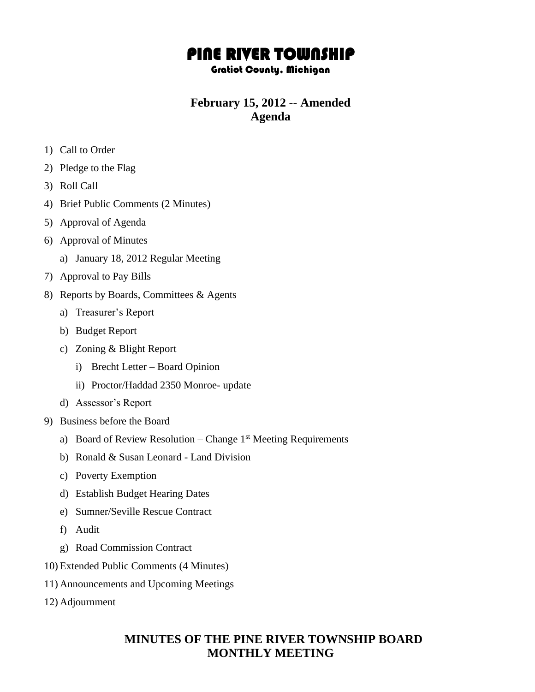# PINE RIVER TOWNSHIP

### Gratiot County, Michigan

## **February 15, 2012 -- Amended Agenda**

- 1) Call to Order
- 2) Pledge to the Flag
- 3) Roll Call
- 4) Brief Public Comments (2 Minutes)
- 5) Approval of Agenda
- 6) Approval of Minutes
	- a) January 18, 2012 Regular Meeting
- 7) Approval to Pay Bills
- 8) Reports by Boards, Committees & Agents
	- a) Treasurer's Report
	- b) Budget Report
	- c) Zoning & Blight Report
		- i) Brecht Letter Board Opinion
		- ii) Proctor/Haddad 2350 Monroe- update
	- d) Assessor's Report
- 9) Business before the Board
	- a) Board of Review Resolution Change  $1<sup>st</sup>$  Meeting Requirements
	- b) Ronald & Susan Leonard Land Division
	- c) Poverty Exemption
	- d) Establish Budget Hearing Dates
	- e) Sumner/Seville Rescue Contract
	- f) Audit
	- g) Road Commission Contract
- 10) Extended Public Comments (4 Minutes)
- 11) Announcements and Upcoming Meetings
- 12) Adjournment

### **MINUTES OF THE PINE RIVER TOWNSHIP BOARD MONTHLY MEETING**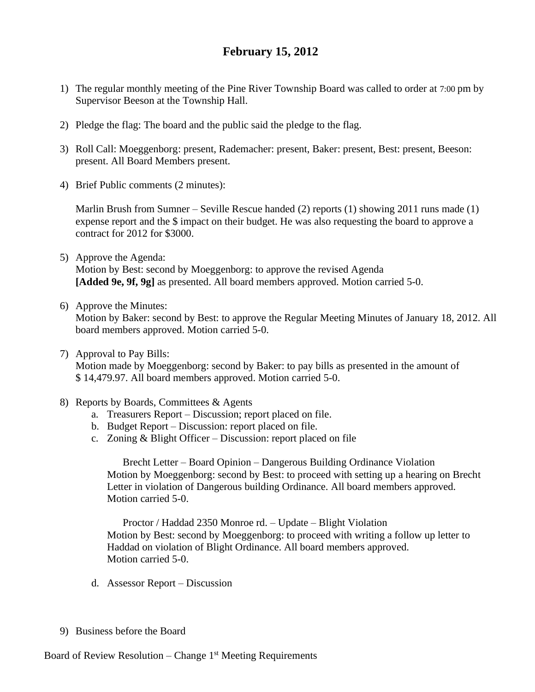### **February 15, 2012**

- 1) The regular monthly meeting of the Pine River Township Board was called to order at 7:00 pm by Supervisor Beeson at the Township Hall.
- 2) Pledge the flag: The board and the public said the pledge to the flag.
- 3) Roll Call: Moeggenborg: present, Rademacher: present, Baker: present, Best: present, Beeson: present. All Board Members present.
- 4) Brief Public comments (2 minutes):

Marlin Brush from Sumner – Seville Rescue handed (2) reports (1) showing 2011 runs made (1) expense report and the \$ impact on their budget. He was also requesting the board to approve a contract for 2012 for \$3000.

- 5) Approve the Agenda: Motion by Best: second by Moeggenborg: to approve the revised Agenda **[Added 9e, 9f, 9g]** as presented. All board members approved. Motion carried 5-0.
- 6) Approve the Minutes:

Motion by Baker: second by Best: to approve the Regular Meeting Minutes of January 18, 2012. All board members approved. Motion carried 5-0.

7) Approval to Pay Bills:

Motion made by Moeggenborg: second by Baker: to pay bills as presented in the amount of \$ 14,479.97. All board members approved. Motion carried 5-0.

- 8) Reports by Boards, Committees & Agents
	- a. Treasurers Report Discussion; report placed on file.
	- b. Budget Report Discussion: report placed on file.
	- c. Zoning & Blight Officer Discussion: report placed on file

Brecht Letter – Board Opinion – Dangerous Building Ordinance Violation Motion by Moeggenborg: second by Best: to proceed with setting up a hearing on Brecht Letter in violation of Dangerous building Ordinance. All board members approved. Motion carried 5-0.

 Proctor / Haddad 2350 Monroe rd. – Update – Blight Violation Motion by Best: second by Moeggenborg: to proceed with writing a follow up letter to Haddad on violation of Blight Ordinance. All board members approved. Motion carried 5-0.

- d. Assessor Report Discussion
- 9) Business before the Board